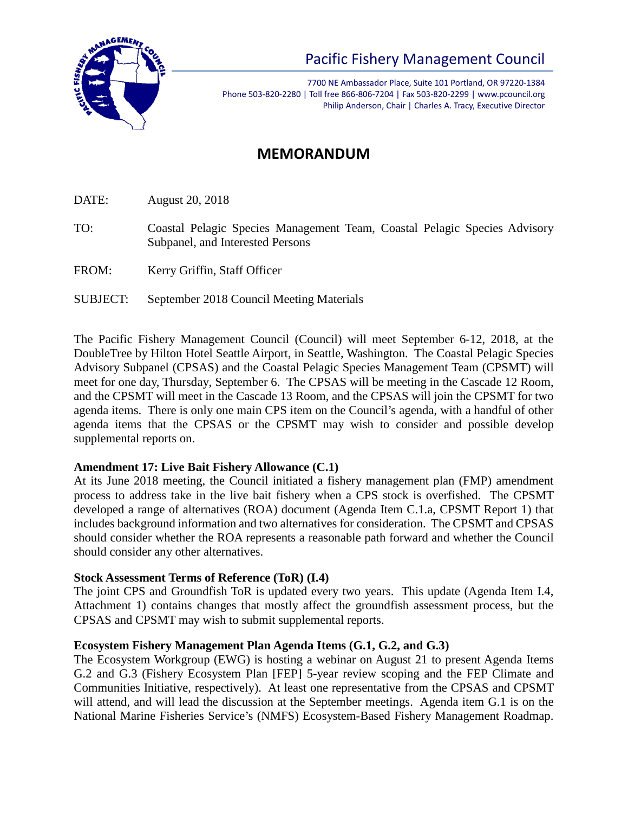

7700 NE Ambassador Place, Suite 101 Portland, OR 97220-1384 Phone 503-820-2280 | Toll free 866-806-7204 | Fax 503-820-2299 | www.pcouncil.org Philip Anderson, Chair | Charles A. Tracy, Executive Director

## **MEMORANDUM**

DATE: August 20, 2018

- TO: Coastal Pelagic Species Management Team, Coastal Pelagic Species Advisory Subpanel, and Interested Persons
- FROM: Kerry Griffin, Staff Officer
- SUBJECT: September 2018 Council Meeting Materials

The Pacific Fishery Management Council (Council) will meet September 6-12, 2018, at the DoubleTree by Hilton Hotel Seattle Airport, in Seattle, Washington. The Coastal Pelagic Species Advisory Subpanel (CPSAS) and the Coastal Pelagic Species Management Team (CPSMT) will meet for one day, Thursday, September 6. The CPSAS will be meeting in the Cascade 12 Room, and the CPSMT will meet in the Cascade 13 Room, and the CPSAS will join the CPSMT for two agenda items. There is only one main CPS item on the Council's agenda, with a handful of other agenda items that the CPSAS or the CPSMT may wish to consider and possible develop supplemental reports on.

### **Amendment 17: Live Bait Fishery Allowance (C.1)**

At its June 2018 meeting, the Council initiated a fishery management plan (FMP) amendment process to address take in the live bait fishery when a CPS stock is overfished. The CPSMT developed a range of alternatives (ROA) document (Agenda Item C.1.a, CPSMT Report 1) that includes background information and two alternatives for consideration. The CPSMT and CPSAS should consider whether the ROA represents a reasonable path forward and whether the Council should consider any other alternatives.

### **Stock Assessment Terms of Reference (ToR) (I.4)**

The joint CPS and Groundfish ToR is updated every two years. This update (Agenda Item I.4, Attachment 1) contains changes that mostly affect the groundfish assessment process, but the CPSAS and CPSMT may wish to submit supplemental reports.

### **Ecosystem Fishery Management Plan Agenda Items (G.1, G.2, and G.3)**

The Ecosystem Workgroup (EWG) is hosting a webinar on August 21 to present Agenda Items G.2 and G.3 (Fishery Ecosystem Plan [FEP] 5-year review scoping and the FEP Climate and Communities Initiative, respectively). At least one representative from the CPSAS and CPSMT will attend, and will lead the discussion at the September meetings. Agenda item G.1 is on the National Marine Fisheries Service's (NMFS) Ecosystem-Based Fishery Management Roadmap.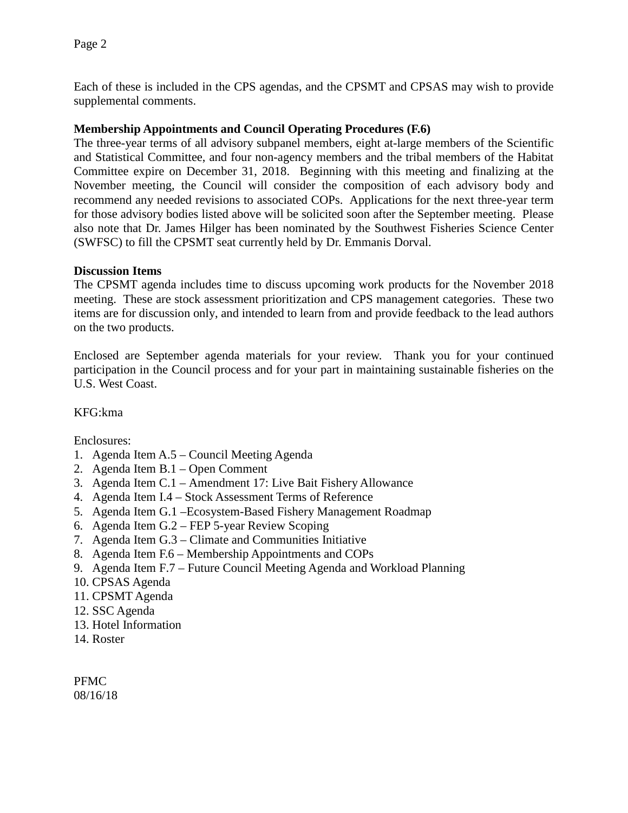Each of these is included in the CPS agendas, and the CPSMT and CPSAS may wish to provide supplemental comments.

#### **Membership Appointments and Council Operating Procedures (F.6)**

The three-year terms of all advisory subpanel members, eight at-large members of the Scientific and Statistical Committee, and four non-agency members and the tribal members of the Habitat Committee expire on December 31, 2018. Beginning with this meeting and finalizing at the November meeting, the Council will consider the composition of each advisory body and recommend any needed revisions to associated COPs. Applications for the next three-year term for those advisory bodies listed above will be solicited soon after the September meeting. Please also note that Dr. James Hilger has been nominated by the Southwest Fisheries Science Center (SWFSC) to fill the CPSMT seat currently held by Dr. Emmanis Dorval.

#### **Discussion Items**

The CPSMT agenda includes time to discuss upcoming work products for the November 2018 meeting. These are stock assessment prioritization and CPS management categories. These two items are for discussion only, and intended to learn from and provide feedback to the lead authors on the two products.

Enclosed are September agenda materials for your review. Thank you for your continued participation in the Council process and for your part in maintaining sustainable fisheries on the U.S. West Coast.

KFG:kma

Enclosures:

- 1. Agenda Item A.5 Council Meeting Agenda
- 2. Agenda Item B.1 Open Comment
- 3. Agenda Item C.1 Amendment 17: Live Bait Fishery Allowance
- 4. Agenda Item I.4 Stock Assessment Terms of Reference
- 5. Agenda Item G.1 –Ecosystem-Based Fishery Management Roadmap
- 6. Agenda Item G.2 FEP 5-year Review Scoping
- 7. Agenda Item G.3 Climate and Communities Initiative
- 8. Agenda Item F.6 Membership Appointments and COPs
- 9. Agenda Item F.7 Future Council Meeting Agenda and Workload Planning
- 10. CPSAS Agenda
- 11. CPSMT Agenda
- 12. SSC Agenda
- 13. Hotel Information
- 14. Roster

PFMC 08/16/18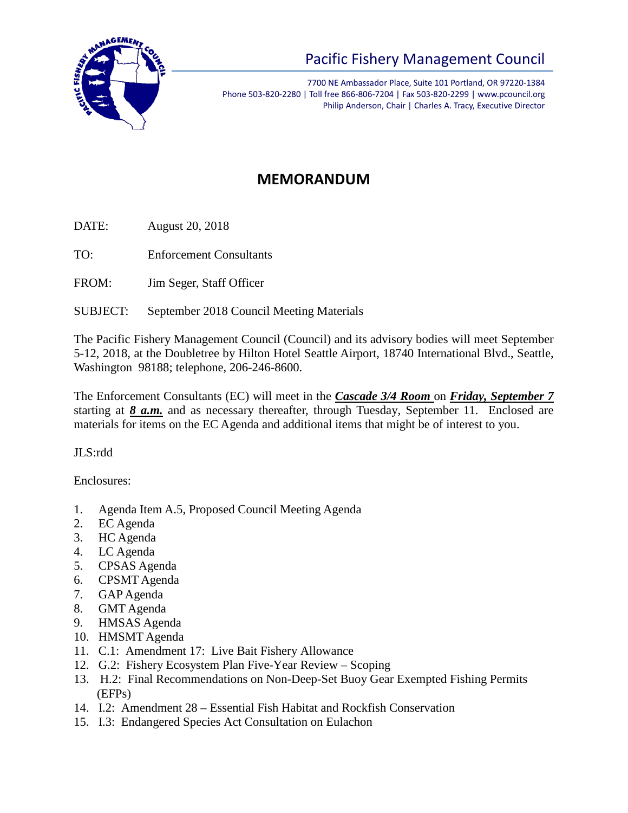

7700 NE Ambassador Place, Suite 101 Portland, OR 97220-1384 Phone 503-820-2280 | Toll free 866-806-7204 | Fax 503-820-2299 | www.pcouncil.org Philip Anderson, Chair | Charles A. Tracy, Executive Director

## **MEMORANDUM**

DATE: August 20, 2018

TO: Enforcement Consultants

FROM: Jim Seger, Staff Officer

SUBJECT: September 2018 Council Meeting Materials

The Pacific Fishery Management Council (Council) and its advisory bodies will meet September 5-12, 2018, at the Doubletree by Hilton Hotel Seattle Airport, 18740 International Blvd., Seattle, Washington 98188; telephone, 206-246-8600.

The Enforcement Consultants (EC) will meet in the *Cascade 3/4 Room* on *Friday, September 7* starting at *8 a.m.* and as necessary thereafter, through Tuesday, September 11. Enclosed are materials for items on the EC Agenda and additional items that might be of interest to you.

JLS:rdd

Enclosures:

- 1. Agenda Item A.5, Proposed Council Meeting Agenda
- 2. EC Agenda
- 3. HC Agenda
- 4. LC Agenda
- 5. CPSAS Agenda
- 6. CPSMT Agenda
- 7. GAP Agenda
- 8. GMT Agenda
- 9. HMSAS Agenda
- 10. HMSMT Agenda
- 11. C.1: Amendment 17: Live Bait Fishery Allowance
- 12. G.2: Fishery Ecosystem Plan Five-Year Review Scoping
- 13. H.2: Final Recommendations on Non-Deep-Set Buoy Gear Exempted Fishing Permits (EFPs)
- 14. I.2: Amendment 28 Essential Fish Habitat and Rockfish Conservation
- 15. I.3: Endangered Species Act Consultation on Eulachon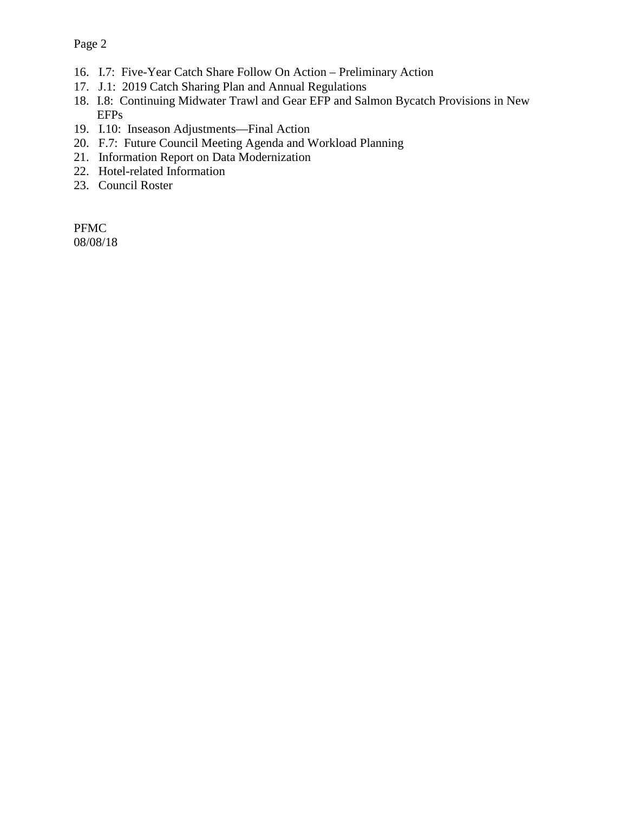- 16. I.7: Five-Year Catch Share Follow On Action Preliminary Action
- 17. J.1: 2019 Catch Sharing Plan and Annual Regulations
- 18. I.8: Continuing Midwater Trawl and Gear EFP and Salmon Bycatch Provisions in New EFPs
- 19. I.10: Inseason Adjustments—Final Action
- 20. F.7: Future Council Meeting Agenda and Workload Planning
- 21. Information Report on Data Modernization
- 22. Hotel-related Information
- 23. Council Roster

PFMC 08/08/18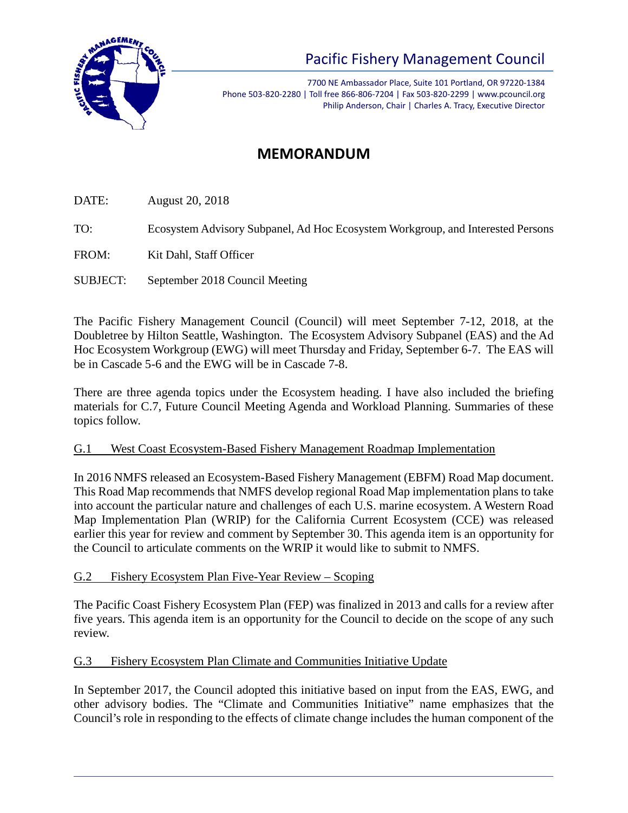

7700 NE Ambassador Place, Suite 101 Portland, OR 97220-1384 Phone 503-820-2280 | Toll free 866-806-7204 | Fax 503-820-2299 | www.pcouncil.org Philip Anderson, Chair | Charles A. Tracy, Executive Director

## **MEMORANDUM**

DATE: August 20, 2018

TO: Ecosystem Advisory Subpanel, Ad Hoc Ecosystem Workgroup, and Interested Persons

FROM: Kit Dahl, Staff Officer

SUBJECT: September 2018 Council Meeting

The Pacific Fishery Management Council (Council) will meet September 7-12, 2018, at the Doubletree by Hilton Seattle, Washington. The Ecosystem Advisory Subpanel (EAS) and the Ad Hoc Ecosystem Workgroup (EWG) will meet Thursday and Friday, September 6-7. The EAS will be in Cascade 5-6 and the EWG will be in Cascade 7-8.

There are three agenda topics under the Ecosystem heading. I have also included the briefing materials for C.7, Future Council Meeting Agenda and Workload Planning. Summaries of these topics follow.

### G.1 West Coast Ecosystem-Based Fishery Management Roadmap Implementation

In 2016 NMFS released an Ecosystem-Based Fishery Management (EBFM) Road Map document. This Road Map recommends that NMFS develop regional Road Map implementation plans to take into account the particular nature and challenges of each U.S. marine ecosystem. A Western Road Map Implementation Plan (WRIP) for the California Current Ecosystem (CCE) was released earlier this year for review and comment by September 30. This agenda item is an opportunity for the Council to articulate comments on the WRIP it would like to submit to NMFS.

### G.2 Fishery Ecosystem Plan Five-Year Review – Scoping

The Pacific Coast Fishery Ecosystem Plan (FEP) was finalized in 2013 and calls for a review after five years. This agenda item is an opportunity for the Council to decide on the scope of any such review.

## G.3 Fishery Ecosystem Plan Climate and Communities Initiative Update

In September 2017, the Council adopted this initiative based on input from the EAS, EWG, and other advisory bodies. The "Climate and Communities Initiative" name emphasizes that the Council's role in responding to the effects of climate change includes the human component of the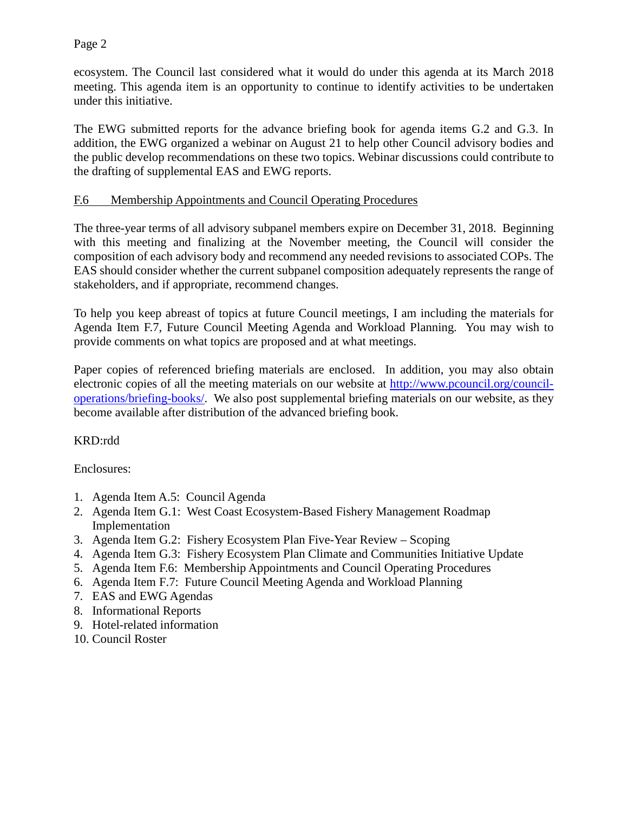ecosystem. The Council last considered what it would do under this agenda at its March 2018 meeting. This agenda item is an opportunity to continue to identify activities to be undertaken under this initiative.

The EWG submitted reports for the advance briefing book for agenda items G.2 and G.3. In addition, the EWG organized a webinar on August 21 to help other Council advisory bodies and the public develop recommendations on these two topics. Webinar discussions could contribute to the drafting of supplemental EAS and EWG reports.

## F.6 Membership Appointments and Council Operating Procedures

The three-year terms of all advisory subpanel members expire on December 31, 2018. Beginning with this meeting and finalizing at the November meeting, the Council will consider the composition of each advisory body and recommend any needed revisions to associated COPs. The EAS should consider whether the current subpanel composition adequately represents the range of stakeholders, and if appropriate, recommend changes.

To help you keep abreast of topics at future Council meetings, I am including the materials for Agenda Item F.7, Future Council Meeting Agenda and Workload Planning. You may wish to provide comments on what topics are proposed and at what meetings.

Paper copies of referenced briefing materials are enclosed. In addition, you may also obtain electronic copies of all the meeting materials on our website at [http://www.pcouncil.org/council](http://www.pcouncil.org/council-operations/briefing-books/)[operations/briefing-books/.](http://www.pcouncil.org/council-operations/briefing-books/) We also post supplemental briefing materials on our website, as they become available after distribution of the advanced briefing book.

## KRD:rdd

Enclosures:

- 1. Agenda Item A.5: Council Agenda
- 2. Agenda Item G.1: West Coast Ecosystem-Based Fishery Management Roadmap Implementation
- 3. Agenda Item G.2: Fishery Ecosystem Plan Five-Year Review Scoping
- 4. Agenda Item G.3: Fishery Ecosystem Plan Climate and Communities Initiative Update
- 5. Agenda Item F.6: Membership Appointments and Council Operating Procedures
- 6. Agenda Item F.7: Future Council Meeting Agenda and Workload Planning
- 7. EAS and EWG Agendas
- 8. Informational Reports
- 9. Hotel-related information
- 10. Council Roster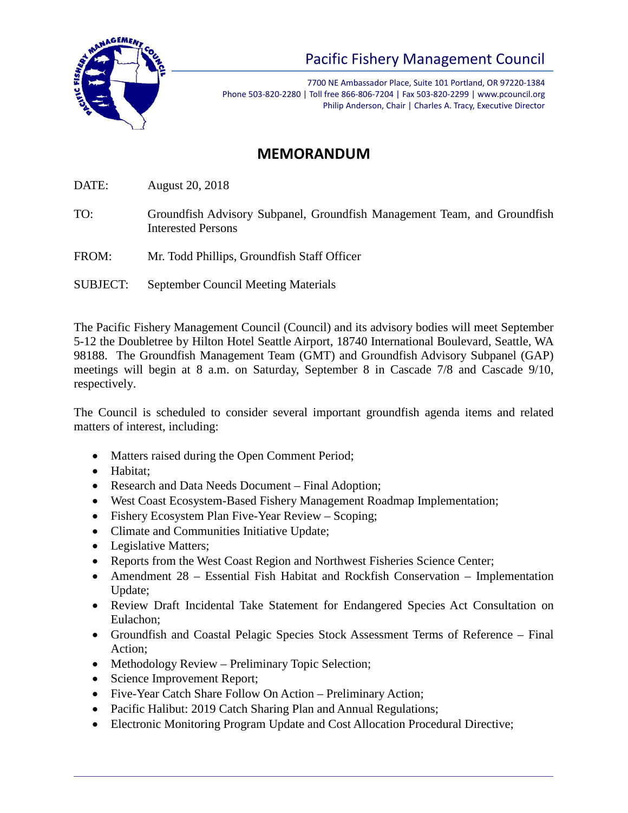

7700 NE Ambassador Place, Suite 101 Portland, OR 97220-1384 Phone 503-820-2280 | Toll free 866-806-7204 | Fax 503-820-2299 | www.pcouncil.org Philip Anderson, Chair | Charles A. Tracy, Executive Director

## **MEMORANDUM**

DATE: August 20, 2018

- TO: Groundfish Advisory Subpanel, Groundfish Management Team, and Groundfish Interested Persons
- FROM: Mr. Todd Phillips, Groundfish Staff Officer
- SUBJECT: September Council Meeting Materials

The Pacific Fishery Management Council (Council) and its advisory bodies will meet September 5-12 the Doubletree by Hilton Hotel Seattle Airport, 18740 International Boulevard, Seattle, WA 98188. The Groundfish Management Team (GMT) and Groundfish Advisory Subpanel (GAP) meetings will begin at 8 a.m. on Saturday, September 8 in Cascade 7/8 and Cascade 9/10, respectively.

The Council is scheduled to consider several important groundfish agenda items and related matters of interest, including:

- Matters raised during the Open Comment Period;
- Habitat;
- Research and Data Needs Document Final Adoption;
- West Coast Ecosystem-Based Fishery Management Roadmap Implementation;
- Fishery Ecosystem Plan Five-Year Review Scoping;
- Climate and Communities Initiative Update;
- Legislative Matters;
- Reports from the West Coast Region and Northwest Fisheries Science Center;
- Amendment 28 Essential Fish Habitat and Rockfish Conservation Implementation Update;
- Review Draft Incidental Take Statement for Endangered Species Act Consultation on Eulachon;
- Groundfish and Coastal Pelagic Species Stock Assessment Terms of Reference Final Action;
- Methodology Review Preliminary Topic Selection;
- Science Improvement Report;
- Five-Year Catch Share Follow On Action Preliminary Action;
- Pacific Halibut: 2019 Catch Sharing Plan and Annual Regulations;
- Electronic Monitoring Program Update and Cost Allocation Procedural Directive;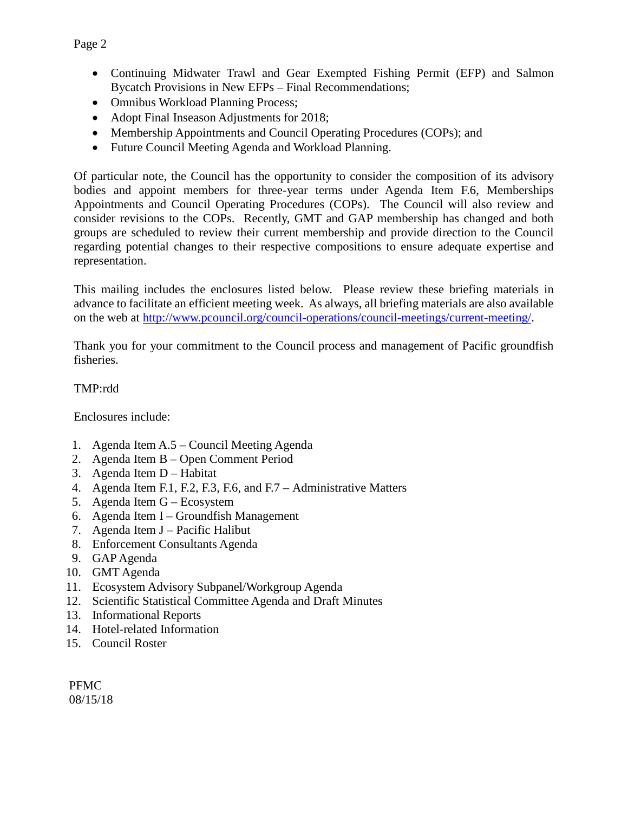- Continuing Midwater Trawl and Gear Exempted Fishing Permit (EFP) and Salmon Bycatch Provisions in New EFPs – Final Recommendations;
- Omnibus Workload Planning Process;
- Adopt Final Inseason Adjustments for 2018;
- Membership Appointments and Council Operating Procedures (COPs); and
- Future Council Meeting Agenda and Workload Planning.

Of particular note, the Council has the opportunity to consider the composition of its advisory bodies and appoint members for three-year terms under Agenda Item F.6, Memberships Appointments and Council Operating Procedures (COPs). The Council will also review and consider revisions to the COPs. Recently, GMT and GAP membership has changed and both groups are scheduled to review their current membership and provide direction to the Council regarding potential changes to their respective compositions to ensure adequate expertise and representation.

This mailing includes the enclosures listed below. Please review these briefing materials in advance to facilitate an efficient meeting week. As always, all briefing materials are also available on the web at [http://www.pcouncil.org/council-operations/council-meetings/current-meeting/.](http://www.pcouncil.org/council-operations/council-meetings/current-meeting/)

Thank you for your commitment to the Council process and management of Pacific groundfish fisheries.

#### TMP:rdd

Enclosures include:

- 1. Agenda Item A.5 Council Meeting Agenda
- 2. Agenda Item B Open Comment Period
- 3. Agenda Item D Habitat
- 4. Agenda Item F.1, F.2, F.3, F.6, and F.7 Administrative Matters
- 5. Agenda Item G Ecosystem
- 6. Agenda Item I Groundfish Management
- 7. Agenda Item J Pacific Halibut
- 8. Enforcement Consultants Agenda
- 9. GAP Agenda
- 10. GMT Agenda
- 11. Ecosystem Advisory Subpanel/Workgroup Agenda
- 12. Scientific Statistical Committee Agenda and Draft Minutes
- 13. Informational Reports
- 14. Hotel-related Information
- 15. Council Roster

PFMC 08/15/18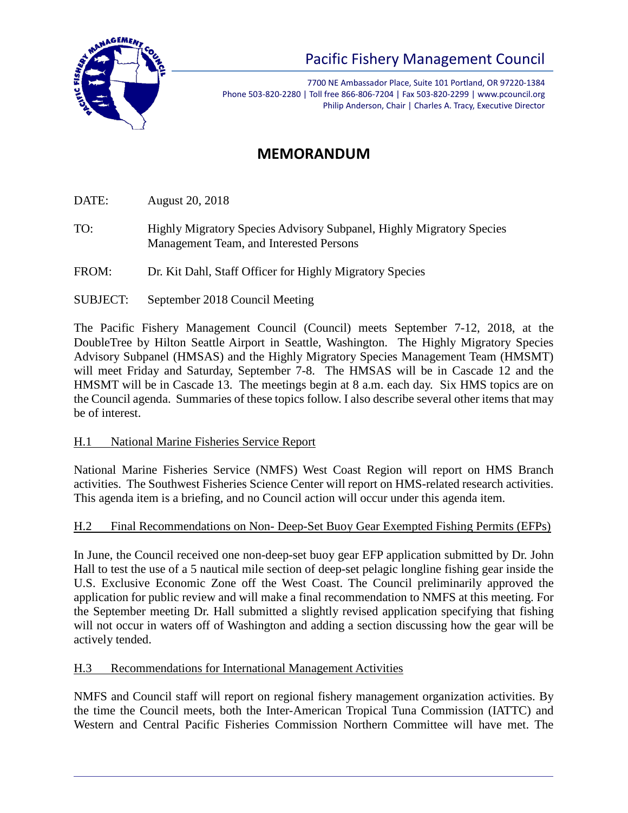

7700 NE Ambassador Place, Suite 101 Portland, OR 97220-1384 Phone 503-820-2280 | Toll free 866-806-7204 | Fax 503-820-2299 | www.pcouncil.org Philip Anderson, Chair | Charles A. Tracy, Executive Director

## **MEMORANDUM**

DATE: August 20, 2018

- TO: Highly Migratory Species Advisory Subpanel, Highly Migratory Species Management Team, and Interested Persons
- FROM: Dr. Kit Dahl, Staff Officer for Highly Migratory Species
- SUBJECT: September 2018 Council Meeting

The Pacific Fishery Management Council (Council) meets September 7-12, 2018, at the DoubleTree by Hilton Seattle Airport in Seattle, Washington. The Highly Migratory Species Advisory Subpanel (HMSAS) and the Highly Migratory Species Management Team (HMSMT) will meet Friday and Saturday, September 7-8. The HMSAS will be in Cascade 12 and the HMSMT will be in Cascade 13. The meetings begin at 8 a.m. each day. Six HMS topics are on the Council agenda. Summaries of these topics follow. I also describe several other items that may be of interest.

### H.1 National Marine Fisheries Service Report

National Marine Fisheries Service (NMFS) West Coast Region will report on HMS Branch activities. The Southwest Fisheries Science Center will report on HMS-related research activities. This agenda item is a briefing, and no Council action will occur under this agenda item.

### H.2 Final Recommendations on Non- Deep-Set Buoy Gear Exempted Fishing Permits (EFPs)

In June, the Council received one non-deep-set buoy gear EFP application submitted by Dr. John Hall to test the use of a 5 nautical mile section of deep-set pelagic longline fishing gear inside the U.S. Exclusive Economic Zone off the West Coast. The Council preliminarily approved the application for public review and will make a final recommendation to NMFS at this meeting. For the September meeting Dr. Hall submitted a slightly revised application specifying that fishing will not occur in waters off of Washington and adding a section discussing how the gear will be actively tended.

### H.3 Recommendations for International Management Activities

NMFS and Council staff will report on regional fishery management organization activities. By the time the Council meets, both the Inter-American Tropical Tuna Commission (IATTC) and Western and Central Pacific Fisheries Commission Northern Committee will have met. The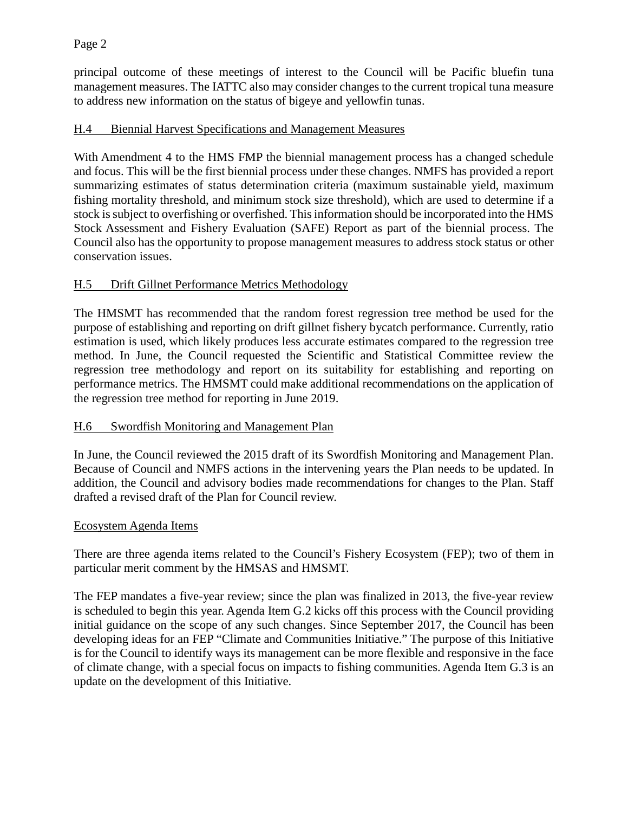principal outcome of these meetings of interest to the Council will be Pacific bluefin tuna management measures. The IATTC also may consider changes to the current tropical tuna measure to address new information on the status of bigeye and yellowfin tunas.

## H.4 Biennial Harvest Specifications and Management Measures

With Amendment 4 to the HMS FMP the biennial management process has a changed schedule and focus. This will be the first biennial process under these changes. NMFS has provided a report summarizing estimates of status determination criteria (maximum sustainable yield, maximum fishing mortality threshold, and minimum stock size threshold), which are used to determine if a stock is subject to overfishing or overfished. This information should be incorporated into the HMS Stock Assessment and Fishery Evaluation (SAFE) Report as part of the biennial process. The Council also has the opportunity to propose management measures to address stock status or other conservation issues.

## H.5 Drift Gillnet Performance Metrics Methodology

The HMSMT has recommended that the random forest regression tree method be used for the purpose of establishing and reporting on drift gillnet fishery bycatch performance. Currently, ratio estimation is used, which likely produces less accurate estimates compared to the regression tree method. In June, the Council requested the Scientific and Statistical Committee review the regression tree methodology and report on its suitability for establishing and reporting on performance metrics. The HMSMT could make additional recommendations on the application of the regression tree method for reporting in June 2019.

### H.6 Swordfish Monitoring and Management Plan

In June, the Council reviewed the 2015 draft of its Swordfish Monitoring and Management Plan. Because of Council and NMFS actions in the intervening years the Plan needs to be updated. In addition, the Council and advisory bodies made recommendations for changes to the Plan. Staff drafted a revised draft of the Plan for Council review.

### Ecosystem Agenda Items

There are three agenda items related to the Council's Fishery Ecosystem (FEP); two of them in particular merit comment by the HMSAS and HMSMT.

The FEP mandates a five-year review; since the plan was finalized in 2013, the five-year review is scheduled to begin this year. Agenda Item G.2 kicks off this process with the Council providing initial guidance on the scope of any such changes. Since September 2017, the Council has been developing ideas for an FEP "Climate and Communities Initiative." The purpose of this Initiative is for the Council to identify ways its management can be more flexible and responsive in the face of climate change, with a special focus on impacts to fishing communities. Agenda Item G.3 is an update on the development of this Initiative.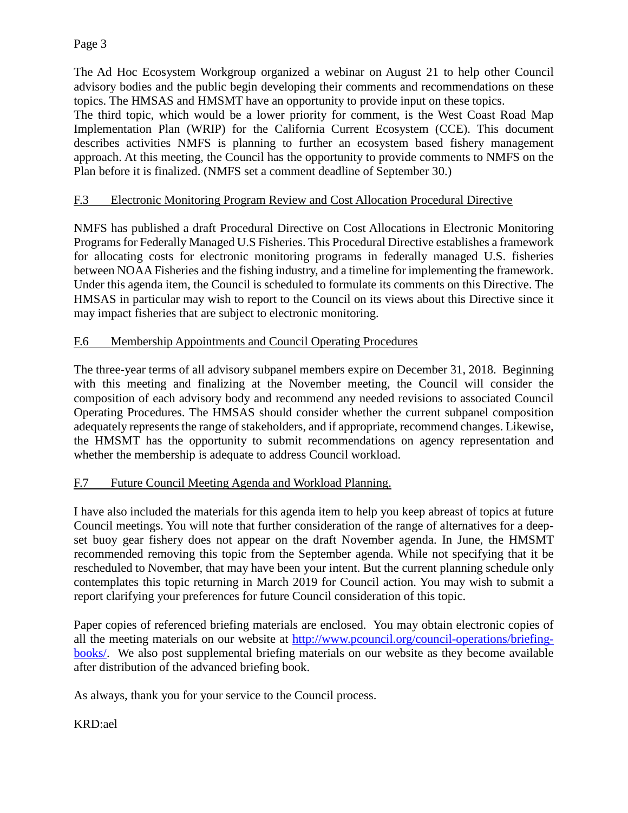The Ad Hoc Ecosystem Workgroup organized a webinar on August 21 to help other Council advisory bodies and the public begin developing their comments and recommendations on these topics. The HMSAS and HMSMT have an opportunity to provide input on these topics.

The third topic, which would be a lower priority for comment, is the West Coast Road Map Implementation Plan (WRIP) for the California Current Ecosystem (CCE). This document describes activities NMFS is planning to further an ecosystem based fishery management approach. At this meeting, the Council has the opportunity to provide comments to NMFS on the Plan before it is finalized. (NMFS set a comment deadline of September 30.)

### F.3 Electronic Monitoring Program Review and Cost Allocation Procedural Directive

NMFS has published a draft Procedural Directive on Cost Allocations in Electronic Monitoring Programs for Federally Managed U.S Fisheries. This Procedural Directive establishes a framework for allocating costs for electronic monitoring programs in federally managed U.S. fisheries between NOAA Fisheries and the fishing industry, and a timeline for implementing the framework. Under this agenda item, the Council is scheduled to formulate its comments on this Directive. The HMSAS in particular may wish to report to the Council on its views about this Directive since it may impact fisheries that are subject to electronic monitoring.

### F.6 Membership Appointments and Council Operating Procedures

The three-year terms of all advisory subpanel members expire on December 31, 2018. Beginning with this meeting and finalizing at the November meeting, the Council will consider the composition of each advisory body and recommend any needed revisions to associated Council Operating Procedures. The HMSAS should consider whether the current subpanel composition adequately represents the range of stakeholders, and if appropriate, recommend changes. Likewise, the HMSMT has the opportunity to submit recommendations on agency representation and whether the membership is adequate to address Council workload.

### F.7 Future Council Meeting Agenda and Workload Planning.

I have also included the materials for this agenda item to help you keep abreast of topics at future Council meetings. You will note that further consideration of the range of alternatives for a deepset buoy gear fishery does not appear on the draft November agenda. In June, the HMSMT recommended removing this topic from the September agenda. While not specifying that it be rescheduled to November, that may have been your intent. But the current planning schedule only contemplates this topic returning in March 2019 for Council action. You may wish to submit a report clarifying your preferences for future Council consideration of this topic.

Paper copies of referenced briefing materials are enclosed. You may obtain electronic copies of all the meeting materials on our website at [http://www.pcouncil.org/council-operations/briefing](http://www.pcouncil.org/council-operations/briefing-books/)[books/.](http://www.pcouncil.org/council-operations/briefing-books/) We also post supplemental briefing materials on our website as they become available after distribution of the advanced briefing book.

As always, thank you for your service to the Council process.

### KRD:ael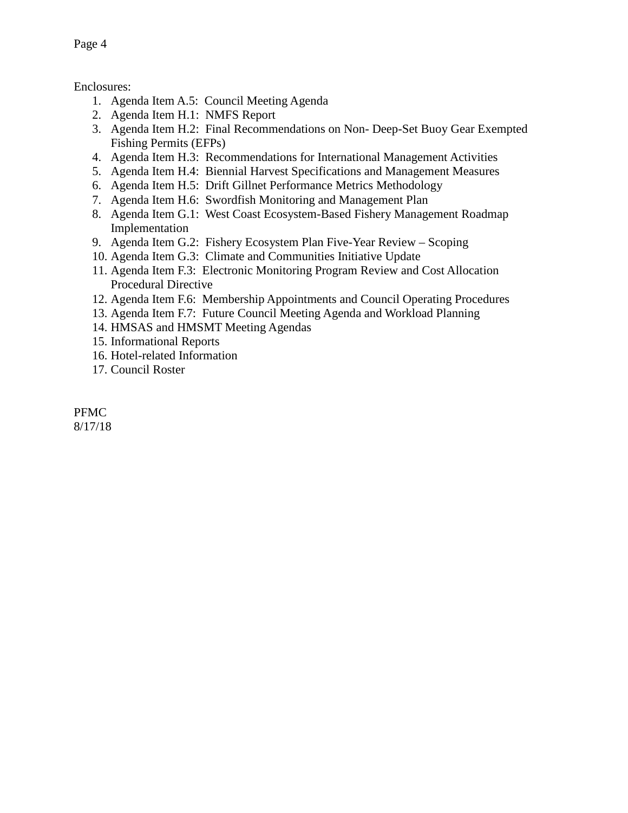Enclosures:

- 1. Agenda Item A.5: Council Meeting Agenda
- 2. Agenda Item H.1: NMFS Report
- 3. Agenda Item H.2: Final Recommendations on Non- Deep-Set Buoy Gear Exempted Fishing Permits (EFPs)
- 4. Agenda Item H.3: Recommendations for International Management Activities
- 5. Agenda Item H.4: Biennial Harvest Specifications and Management Measures
- 6. Agenda Item H.5: Drift Gillnet Performance Metrics Methodology
- 7. Agenda Item H.6: Swordfish Monitoring and Management Plan
- 8. Agenda Item G.1: West Coast Ecosystem-Based Fishery Management Roadmap Implementation
- 9. Agenda Item G.2: Fishery Ecosystem Plan Five-Year Review Scoping
- 10. Agenda Item G.3: Climate and Communities Initiative Update
- 11. Agenda Item F.3: Electronic Monitoring Program Review and Cost Allocation Procedural Directive
- 12. Agenda Item F.6: Membership Appointments and Council Operating Procedures
- 13. Agenda Item F.7: Future Council Meeting Agenda and Workload Planning
- 14. HMSAS and HMSMT Meeting Agendas
- 15. Informational Reports
- 16. Hotel-related Information
- 17. Council Roster

PFMC

8/17/18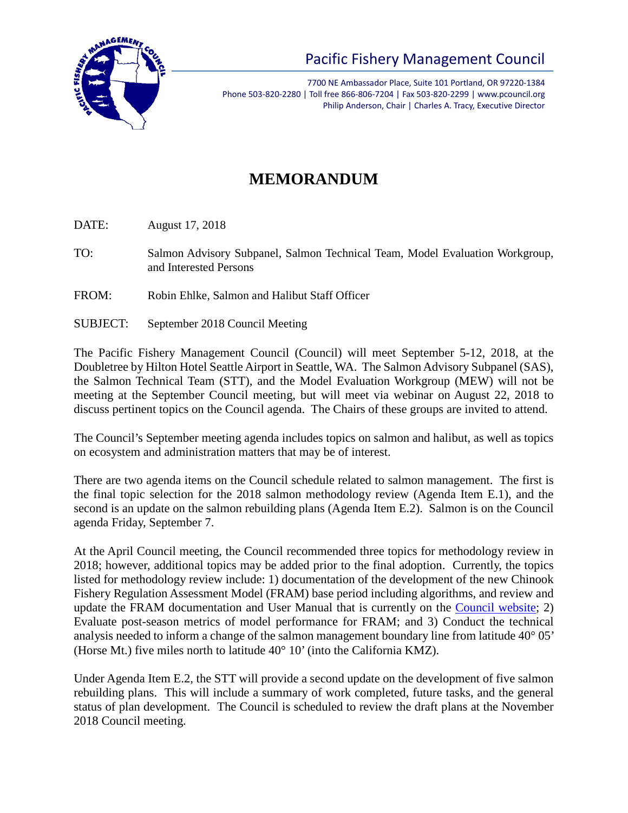

7700 NE Ambassador Place, Suite 101 Portland, OR 97220-1384 Phone 503-820-2280 | Toll free 866-806-7204 | Fax 503-820-2299 | www.pcouncil.org Philip Anderson, Chair | Charles A. Tracy, Executive Director

# **MEMORANDUM**

DATE: August 17, 2018

TO: Salmon Advisory Subpanel, Salmon Technical Team, Model Evaluation Workgroup, and Interested Persons

- FROM: Robin Ehlke, Salmon and Halibut Staff Officer
- SUBJECT: September 2018 Council Meeting

The Pacific Fishery Management Council (Council) will meet September 5-12, 2018, at the Doubletree by Hilton Hotel Seattle Airport in Seattle, WA. The Salmon Advisory Subpanel (SAS), the Salmon Technical Team (STT), and the Model Evaluation Workgroup (MEW) will not be meeting at the September Council meeting, but will meet via webinar on August 22, 2018 to discuss pertinent topics on the Council agenda. The Chairs of these groups are invited to attend.

The Council's September meeting agenda includes topics on salmon and halibut, as well as topics on ecosystem and administration matters that may be of interest.

There are two agenda items on the Council schedule related to salmon management. The first is the final topic selection for the 2018 salmon methodology review (Agenda Item E.1), and the second is an update on the salmon rebuilding plans (Agenda Item E.2). Salmon is on the Council agenda Friday, September 7.

At the April Council meeting, the Council recommended three topics for methodology review in 2018; however, additional topics may be added prior to the final adoption. Currently, the topics listed for methodology review include: 1) documentation of the development of the new Chinook Fishery Regulation Assessment Model (FRAM) base period including algorithms, and review and update the FRAM documentation and User Manual that is currently on the [Council website;](https://www.pcouncil.org/salmon/background/document-library/fishery-regulation-assessment-model-fram-documentation/) 2) Evaluate post-season metrics of model performance for FRAM; and 3) Conduct the technical analysis needed to inform a change of the salmon management boundary line from latitude 40° 05' (Horse Mt.) five miles north to latitude  $40^{\circ}$  10' (into the California KMZ).

Under Agenda Item E.2, the STT will provide a second update on the development of five salmon rebuilding plans. This will include a summary of work completed, future tasks, and the general status of plan development. The Council is scheduled to review the draft plans at the November 2018 Council meeting.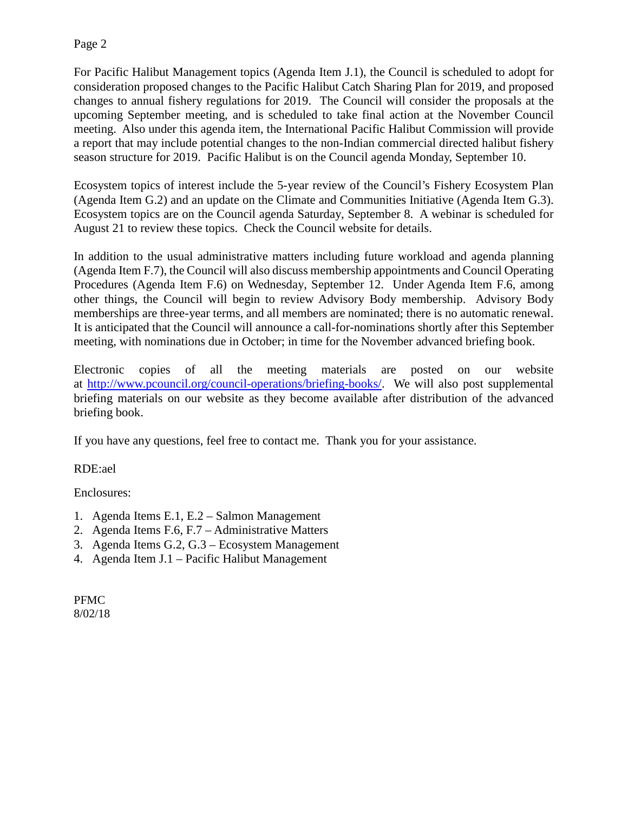For Pacific Halibut Management topics (Agenda Item J.1), the Council is scheduled to adopt for consideration proposed changes to the Pacific Halibut Catch Sharing Plan for 2019, and proposed changes to annual fishery regulations for 2019. The Council will consider the proposals at the upcoming September meeting, and is scheduled to take final action at the November Council meeting. Also under this agenda item, the International Pacific Halibut Commission will provide a report that may include potential changes to the non-Indian commercial directed halibut fishery season structure for 2019. Pacific Halibut is on the Council agenda Monday, September 10.

Ecosystem topics of interest include the 5-year review of the Council's Fishery Ecosystem Plan (Agenda Item G.2) and an update on the Climate and Communities Initiative (Agenda Item G.3). Ecosystem topics are on the Council agenda Saturday, September 8. A webinar is scheduled for August 21 to review these topics. Check the Council website for details.

In addition to the usual administrative matters including future workload and agenda planning (Agenda Item F.7), the Council will also discuss membership appointments and Council Operating Procedures (Agenda Item F.6) on Wednesday, September 12. Under Agenda Item F.6, among other things, the Council will begin to review Advisory Body membership. Advisory Body memberships are three-year terms, and all members are nominated; there is no automatic renewal. It is anticipated that the Council will announce a call-for-nominations shortly after this September meeting, with nominations due in October; in time for the November advanced briefing book.

Electronic copies of all the meeting materials are posted on our website at [http://www.pcouncil.org/council-operations/briefing-books/.](http://www.pcouncil.org/council-operations/briefing-books/) We will also post supplemental briefing materials on our website as they become available after distribution of the advanced briefing book.

If you have any questions, feel free to contact me. Thank you for your assistance.

RDE:ael

Enclosures:

- 1. Agenda Items E.1, E.2 Salmon Management
- 2. Agenda Items F.6, F.7 Administrative Matters
- 3. Agenda Items G.2, G.3 Ecosystem Management
- 4. Agenda Item J.1 Pacific Halibut Management

PFMC 8/02/18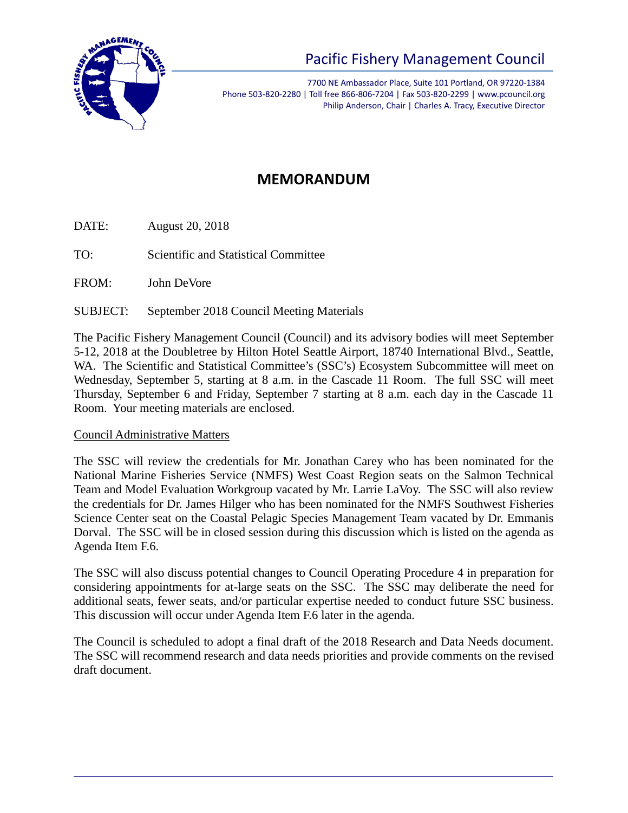

7700 NE Ambassador Place, Suite 101 Portland, OR 97220-1384 Phone 503-820-2280 | Toll free 866-806-7204 | Fax 503-820-2299 | www.pcouncil.org Philip Anderson, Chair | Charles A. Tracy, Executive Director

## **MEMORANDUM**

DATE: August 20, 2018

TO: Scientific and Statistical Committee

FROM: John DeVore

SUBJECT: September 2018 Council Meeting Materials

The Pacific Fishery Management Council (Council) and its advisory bodies will meet September 5-12, 2018 at the Doubletree by Hilton Hotel Seattle Airport, 18740 International Blvd., Seattle, WA. The Scientific and Statistical Committee's (SSC's) Ecosystem Subcommittee will meet on Wednesday, September 5, starting at 8 a.m. in the Cascade 11 Room. The full SSC will meet Thursday, September 6 and Friday, September 7 starting at 8 a.m. each day in the Cascade 11 Room. Your meeting materials are enclosed.

### Council Administrative Matters

The SSC will review the credentials for Mr. Jonathan Carey who has been nominated for the National Marine Fisheries Service (NMFS) West Coast Region seats on the Salmon Technical Team and Model Evaluation Workgroup vacated by Mr. Larrie LaVoy. The SSC will also review the credentials for Dr. James Hilger who has been nominated for the NMFS Southwest Fisheries Science Center seat on the Coastal Pelagic Species Management Team vacated by Dr. Emmanis Dorval. The SSC will be in closed session during this discussion which is listed on the agenda as Agenda Item F.6.

The SSC will also discuss potential changes to Council Operating Procedure 4 in preparation for considering appointments for at-large seats on the SSC. The SSC may deliberate the need for additional seats, fewer seats, and/or particular expertise needed to conduct future SSC business. This discussion will occur under Agenda Item F.6 later in the agenda.

The Council is scheduled to adopt a final draft of the 2018 Research and Data Needs document. The SSC will recommend research and data needs priorities and provide comments on the revised draft document.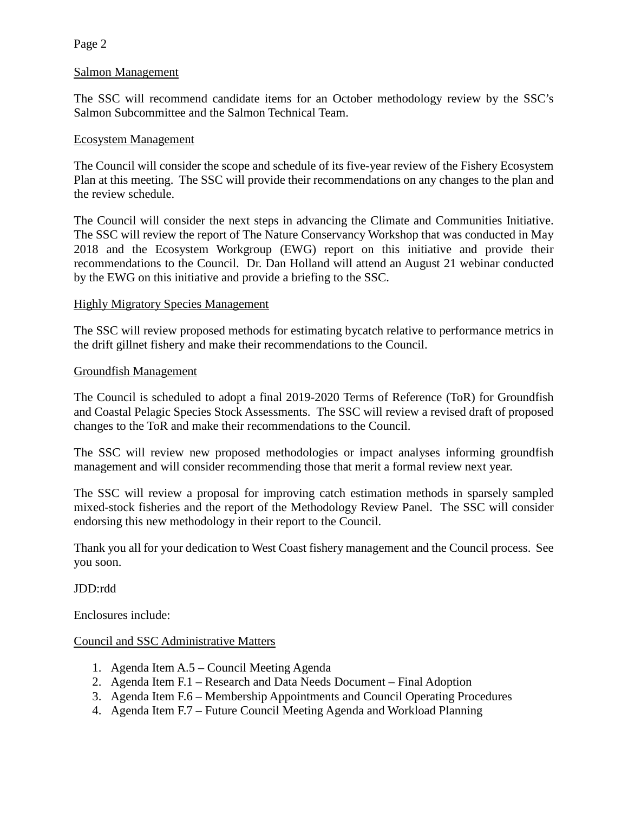#### Salmon Management

The SSC will recommend candidate items for an October methodology review by the SSC's Salmon Subcommittee and the Salmon Technical Team.

#### Ecosystem Management

The Council will consider the scope and schedule of its five-year review of the Fishery Ecosystem Plan at this meeting. The SSC will provide their recommendations on any changes to the plan and the review schedule.

The Council will consider the next steps in advancing the Climate and Communities Initiative. The SSC will review the report of The Nature Conservancy Workshop that was conducted in May 2018 and the Ecosystem Workgroup (EWG) report on this initiative and provide their recommendations to the Council. Dr. Dan Holland will attend an August 21 webinar conducted by the EWG on this initiative and provide a briefing to the SSC.

#### Highly Migratory Species Management

The SSC will review proposed methods for estimating bycatch relative to performance metrics in the drift gillnet fishery and make their recommendations to the Council.

#### Groundfish Management

The Council is scheduled to adopt a final 2019-2020 Terms of Reference (ToR) for Groundfish and Coastal Pelagic Species Stock Assessments. The SSC will review a revised draft of proposed changes to the ToR and make their recommendations to the Council.

The SSC will review new proposed methodologies or impact analyses informing groundfish management and will consider recommending those that merit a formal review next year.

The SSC will review a proposal for improving catch estimation methods in sparsely sampled mixed-stock fisheries and the report of the Methodology Review Panel. The SSC will consider endorsing this new methodology in their report to the Council.

Thank you all for your dedication to West Coast fishery management and the Council process. See you soon.

### JDD:rdd

Enclosures include:

### Council and SSC Administrative Matters

- 1. Agenda Item A.5 Council Meeting Agenda
- 2. Agenda Item F.1 Research and Data Needs Document Final Adoption
- 3. Agenda Item F.6 Membership Appointments and Council Operating Procedures
- 4. Agenda Item F.7 Future Council Meeting Agenda and Workload Planning